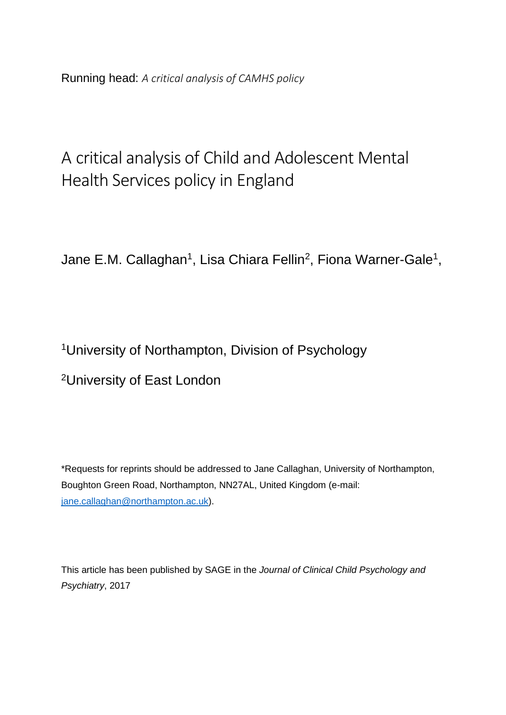Running head: *A critical analysis of CAMHS policy* 

# A critical analysis of Child and Adolescent Mental Health Services policy in England

Jane E.M. Callaghan $^{\rm 1}$ , Lisa Chiara Fellin $^{\rm 2}$ , Fiona Warner-Gale $^{\rm 1}$ ,

<sup>1</sup>University of Northampton, Division of Psychology

<sup>2</sup>University of East London

\*Requests for reprints should be addressed to Jane Callaghan, University of Northampton, Boughton Green Road, Northampton, NN27AL, United Kingdom (e-mail: [jane.callaghan@northampton.ac.uk\)](mailto:jane.callaghan@northampton.ac.uk).

This article has been published by SAGE in the *Journal of Clinical Child Psychology and Psychiatry*, 2017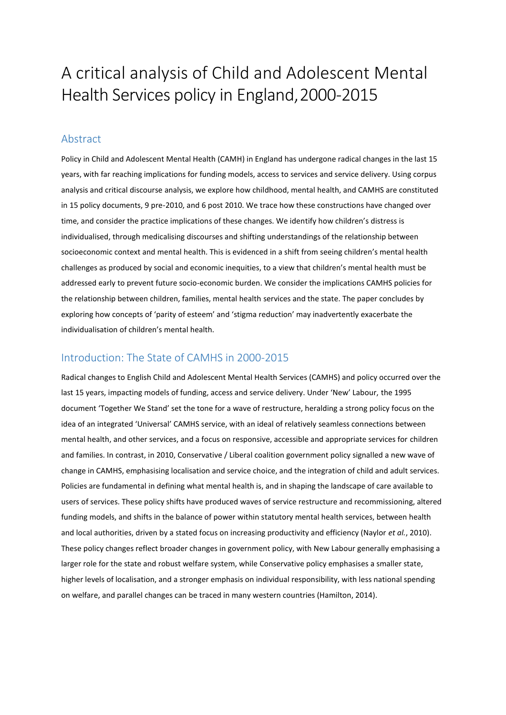# A critical analysis of Child and Adolescent Mental Health Services policy in England,2000-2015

# Abstract

Policy in Child and Adolescent Mental Health (CAMH) in England has undergone radical changes in the last 15 years, with far reaching implications for funding models, access to services and service delivery. Using corpus analysis and critical discourse analysis, we explore how childhood, mental health, and CAMHS are constituted in 15 policy documents, 9 pre-2010, and 6 post 2010. We trace how these constructions have changed over time, and consider the practice implications of these changes. We identify how children's distress is individualised, through medicalising discourses and shifting understandings of the relationship between socioeconomic context and mental health. This is evidenced in a shift from seeing children's mental health challenges as produced by social and economic inequities, to a view that children's mental health must be addressed early to prevent future socio-economic burden. We consider the implications CAMHS policies for the relationship between children, families, mental health services and the state. The paper concludes by exploring how concepts of 'parity of esteem' and 'stigma reduction' may inadvertently exacerbate the individualisation of children's mental health.

# Introduction: The State of CAMHS in 2000-2015

Radical changes to English Child and Adolescent Mental Health Services (CAMHS) and policy occurred over the last 15 years, impacting models of funding, access and service delivery. Under 'New' Labour, the 1995 document 'Together We Stand' set the tone for a wave of restructure, heralding a strong policy focus on the idea of an integrated 'Universal' CAMHS service, with an ideal of relatively seamless connections between mental health, and other services, and a focus on responsive, accessible and appropriate services for children and families. In contrast, in 2010, Conservative / Liberal coalition government policy signalled a new wave of change in CAMHS, emphasising localisation and service choice, and the integration of child and adult services. Policies are fundamental in defining what mental health is, and in shaping the landscape of care available to users of services. These policy shifts have produced waves of service restructure and recommissioning, altered funding models, and shifts in the balance of power within statutory mental health services, between health and local authorities, driven by a stated focus on increasing productivity and efficiency (Naylor *et al.*, 2010). These policy changes reflect broader changes in government policy, with New Labour generally emphasising a larger role for the state and robust welfare system, while Conservative policy emphasises a smaller state, higher levels of localisation, and a stronger emphasis on individual responsibility, with less national spending on welfare, and parallel changes can be traced in many western countries (Hamilton, 2014).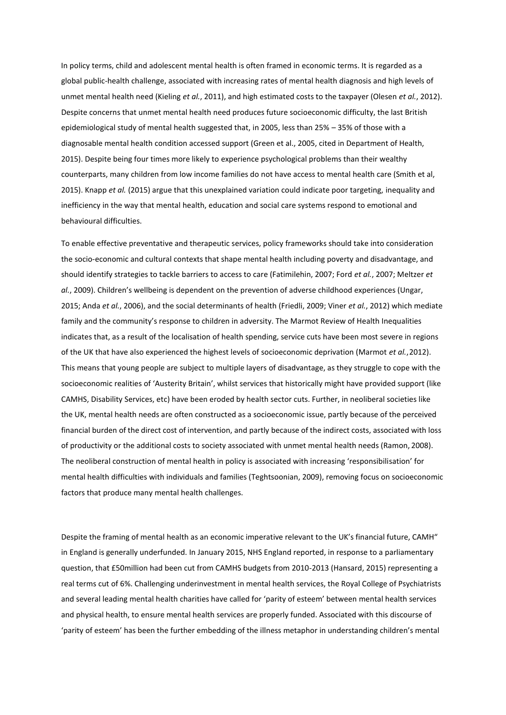In policy terms, child and adolescent mental health is often framed in economic terms. It is regarded as a global public-health challenge, associated with increasing rates of mental health diagnosis and high levels of unmet mental health need (Kieling *et al.*, 2011), and high estimated costs to the taxpayer (Olesen *et al.*, 2012). Despite concerns that unmet mental health need produces future socioeconomic difficulty, the last British epidemiological study of mental health suggested that, in 2005, less than 25% – 35% of those with a diagnosable mental health condition accessed support (Green et al., 2005, cited in Department of Health, 2015). Despite being four times more likely to experience psychological problems than their wealthy counterparts, many children from low income families do not have access to mental health care (Smith et al, 2015). Knapp *et al.* (2015) argue that this unexplained variation could indicate poor targeting, inequality and inefficiency in the way that mental health, education and social care systems respond to emotional and behavioural difficulties.

To enable effective preventative and therapeutic services, policy frameworks should take into consideration the socio-economic and cultural contexts that shape mental health including poverty and disadvantage, and should identify strategies to tackle barriers to access to care (Fatimilehin, 2007; Ford *et al.*, 2007; Meltzer *et al.*, 2009). Children's wellbeing is dependent on the prevention of adverse childhood experiences (Ungar, 2015; Anda *et al.*, 2006), and the social determinants of health (Friedli, 2009; Viner *et al.*, 2012) which mediate family and the community's response to children in adversity. The Marmot Review of Health Inequalities indicates that, as a result of the localisation of health spending, service cuts have been most severe in regions of the UK that have also experienced the highest levels of socioeconomic deprivation (Marmot *et al.*,2012). This means that young people are subject to multiple layers of disadvantage, as they struggle to cope with the socioeconomic realities of 'Austerity Britain', whilst services that historically might have provided support (like CAMHS, Disability Services, etc) have been eroded by health sector cuts. Further, in neoliberal societies like the UK, mental health needs are often constructed as a socioeconomic issue, partly because of the perceived financial burden of the direct cost of intervention, and partly because of the indirect costs, associated with loss of productivity or the additional costs to society associated with unmet mental health needs (Ramon, 2008). The neoliberal construction of mental health in policy is associated with increasing 'responsibilisation' for mental health difficulties with individuals and families (Teghtsoonian, 2009), removing focus on socioeconomic factors that produce many mental health challenges.

Despite the framing of mental health as an economic imperative relevant to the UK's financial future, CAMH" in England is generally underfunded. In January 2015, NHS England reported, in response to a parliamentary question, that £50million had been cut from CAMHS budgets from 2010-2013 (Hansard, 2015) representing a real terms cut of 6%. Challenging underinvestment in mental health services, the Royal College of Psychiatrists and several leading mental health charities have called for 'parity of esteem' between mental health services and physical health, to ensure mental health services are properly funded. Associated with this discourse of 'parity of esteem' has been the further embedding of the illness metaphor in understanding children's mental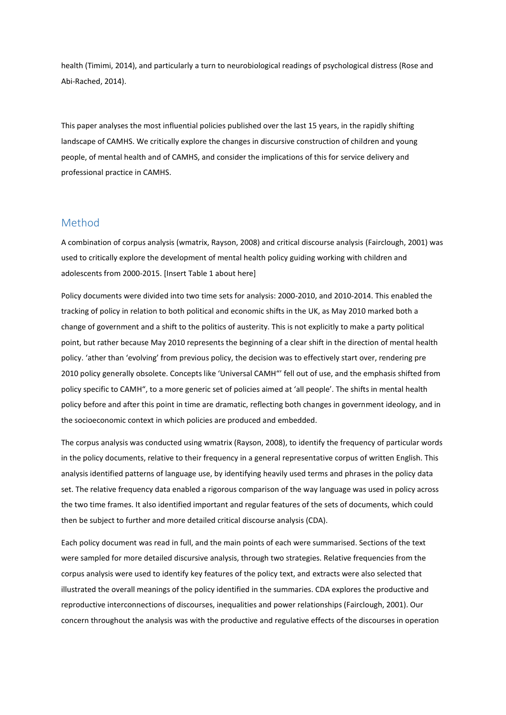health (Timimi, 2014), and particularly a turn to neurobiological readings of psychological distress (Rose and Abi-Rached, 2014).

This paper analyses the most influential policies published over the last 15 years, in the rapidly shifting landscape of CAMHS. We critically explore the changes in discursive construction of children and young people, of mental health and of CAMHS, and consider the implications of this for service delivery and professional practice in CAMHS.

## Method

A combination of corpus analysis (wmatrix, Rayson, 2008) and critical discourse analysis (Fairclough, 2001) was used to critically explore the development of mental health policy guiding working with children and adolescents from 2000-2015. [Insert Table 1 about here]

Policy documents were divided into two time sets for analysis: 2000-2010, and 2010-2014. This enabled the tracking of policy in relation to both political and economic shifts in the UK, as May 2010 marked both a change of government and a shift to the politics of austerity. This is not explicitly to make a party political point, but rather because May 2010 represents the beginning of a clear shift in the direction of mental health policy. 'ather than 'evolving' from previous policy, the decision was to effectively start over, rendering pre 2010 policy generally obsolete. Concepts like 'Universal CAMH"' fell out of use, and the emphasis shifted from policy specific to CAMH", to a more generic set of policies aimed at 'all people'. The shifts in mental health policy before and after this point in time are dramatic, reflecting both changes in government ideology, and in the socioeconomic context in which policies are produced and embedded.

The corpus analysis was conducted using wmatrix (Rayson, 2008), to identify the frequency of particular words in the policy documents, relative to their frequency in a general representative corpus of written English. This analysis identified patterns of language use, by identifying heavily used terms and phrases in the policy data set. The relative frequency data enabled a rigorous comparison of the way language was used in policy across the two time frames. It also identified important and regular features of the sets of documents, which could then be subject to further and more detailed critical discourse analysis (CDA).

Each policy document was read in full, and the main points of each were summarised. Sections of the text were sampled for more detailed discursive analysis, through two strategies. Relative frequencies from the corpus analysis were used to identify key features of the policy text, and extracts were also selected that illustrated the overall meanings of the policy identified in the summaries. CDA explores the productive and reproductive interconnections of discourses, inequalities and power relationships (Fairclough, 2001). Our concern throughout the analysis was with the productive and regulative effects of the discourses in operation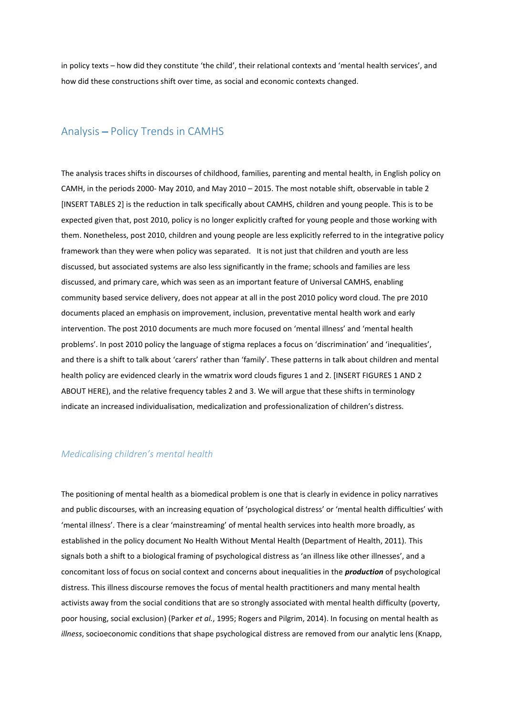in policy texts – how did they constitute 'the child', their relational contexts and 'mental health services', and how did these constructions shift over time, as social and economic contexts changed.

## Analysis – Policy Trends in CAMHS

The analysis traces shifts in discourses of childhood, families, parenting and mental health, in English policy on CAMH, in the periods 2000- May 2010, and May 2010 – 2015. The most notable shift, observable in table 2 [INSERT TABLES 2] is the reduction in talk specifically about CAMHS, children and young people. This is to be expected given that, post 2010, policy is no longer explicitly crafted for young people and those working with them. Nonetheless, post 2010, children and young people are less explicitly referred to in the integrative policy framework than they were when policy was separated. It is not just that children and youth are less discussed, but associated systems are also less significantly in the frame; schools and families are less discussed, and primary care, which was seen as an important feature of Universal CAMHS, enabling community based service delivery, does not appear at all in the post 2010 policy word cloud. The pre 2010 documents placed an emphasis on improvement, inclusion, preventative mental health work and early intervention. The post 2010 documents are much more focused on 'mental illness' and 'mental health problems'. In post 2010 policy the language of stigma replaces a focus on 'discrimination' and 'inequalities', and there is a shift to talk about 'carers' rather than 'family'. These patterns in talk about children and mental health policy are evidenced clearly in the wmatrix word clouds figures 1 and 2. [INSERT FIGURES 1 AND 2 ABOUT HERE), and the relative frequency tables 2 and 3. We will argue that these shifts in terminology indicate an increased individualisation, medicalization and professionalization of children's distress.

#### *Medicalising children's mental health*

The positioning of mental health as a biomedical problem is one that is clearly in evidence in policy narratives and public discourses, with an increasing equation of 'psychological distress' or 'mental health difficulties' with 'mental illness'. There is a clear 'mainstreaming' of mental health services into health more broadly, as established in the policy document No Health Without Mental Health (Department of Health, 2011). This signals both a shift to a biological framing of psychological distress as 'an illness like other illnesses', and a concomitant loss of focus on social context and concerns about inequalities in the *production* of psychological distress. This illness discourse removes the focus of mental health practitioners and many mental health activists away from the social conditions that are so strongly associated with mental health difficulty (poverty, poor housing, social exclusion) (Parker *et al.*, 1995; Rogers and Pilgrim, 2014). In focusing on mental health as *illness*, socioeconomic conditions that shape psychological distress are removed from our analytic lens (Knapp,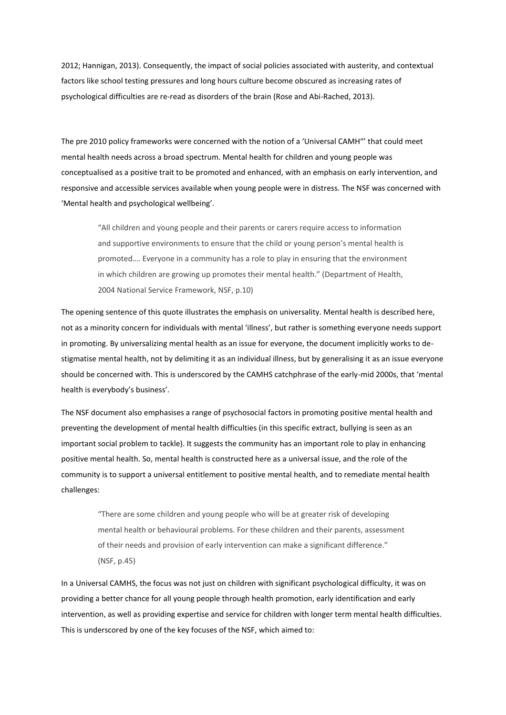2012; Hannigan, 2013). Consequently, the impact of social policies associated with austerity, and contextual factors like school testing pressures and long hours culture become obscured as increasing rates of psychological difficulties are re-read as disorders of the brain (Rose and Abi-Rached, 2013).

The pre 2010 policy frameworks were concerned with the notion of a 'Universal CAMH"' that could meet mental health needs across a broad spectrum. Mental health for children and young people was conceptualised as a positive trait to be promoted and enhanced, with an emphasis on early intervention, and responsive and accessible services available when young people were in distress. The NSF was concerned with 'Mental health and psychological wellbeing'.

"All children and young people and their parents or carers require access to information and supportive environments to ensure that the child or young person's mental health is promoted…. Everyone in a community has a role to play in ensuring that the environment in which children are growing up promotes their mental health." (Department of Health, 2004 National Service Framework, NSF, p.10)

The opening sentence of this quote illustrates the emphasis on universality. Mental health is described here, not as a minority concern for individuals with mental 'illness', but rather is something everyone needs support in promoting. By universalizing mental health as an issue for everyone, the document implicitly works to destigmatise mental health, not by delimiting it as an individual illness, but by generalising it as an issue everyone should be concerned with. This is underscored by the CAMHS catchphrase of the early-mid 2000s, that 'mental health is everybody's business'.

The NSF document also emphasises a range of psychosocial factors in promoting positive mental health and preventing the development of mental health difficulties (in this specific extract, bullying is seen as an important social problem to tackle). It suggests the community has an important role to play in enhancing positive mental health. So, mental health is constructed here as a universal issue, and the role of the community is to support a universal entitlement to positive mental health, and to remediate mental health challenges:

"There are some children and young people who will be at greater risk of developing mental health or behavioural problems. For these children and their parents, assessment of their needs and provision of early intervention can make a significant difference." (NSF, p.45)

In a Universal CAMHS, the focus was not just on children with significant psychological difficulty, it was on providing a better chance for all young people through health promotion, early identification and early intervention, as well as providing expertise and service for children with longer term mental health difficulties. This is underscored by one of the key focuses of the NSF, which aimed to: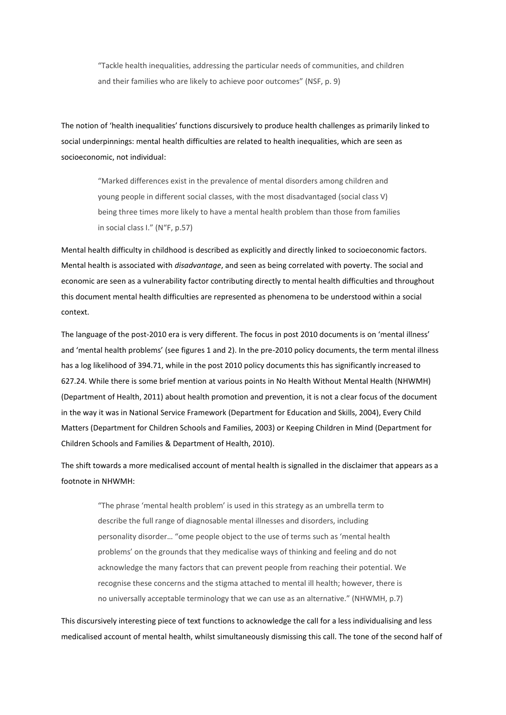"Tackle health inequalities, addressing the particular needs of communities, and children and their families who are likely to achieve poor outcomes" (NSF, p. 9)

The notion of 'health inequalities' functions discursively to produce health challenges as primarily linked to social underpinnings: mental health difficulties are related to health inequalities, which are seen as socioeconomic, not individual:

> "Marked differences exist in the prevalence of mental disorders among children and young people in different social classes, with the most disadvantaged (social class V) being three times more likely to have a mental health problem than those from families in social class I." (N"F, p.57)

Mental health difficulty in childhood is described as explicitly and directly linked to socioeconomic factors. Mental health is associated with *disadvantage*, and seen as being correlated with poverty. The social and economic are seen as a vulnerability factor contributing directly to mental health difficulties and throughout this document mental health difficulties are represented as phenomena to be understood within a social context.

The language of the post-2010 era is very different. The focus in post 2010 documents is on 'mental illness' and 'mental health problems' (see figures 1 and 2). In the pre-2010 policy documents, the term mental illness has a log likelihood of 394.71, while in the post 2010 policy documents this has significantly increased to 627.24. While there is some brief mention at various points in No Health Without Mental Health (NHWMH) (Department of Health, 2011) about health promotion and prevention, it is not a clear focus of the document in the way it was in National Service Framework (Department for Education and Skills, 2004), Every Child Matters (Department for Children Schools and Families, 2003) or Keeping Children in Mind (Department for Children Schools and Families & Department of Health, 2010).

The shift towards a more medicalised account of mental health is signalled in the disclaimer that appears as a footnote in NHWMH:

"The phrase 'mental health problem' is used in this strategy as an umbrella term to describe the full range of diagnosable mental illnesses and disorders, including personality disorder… "ome people object to the use of terms such as 'mental health problems' on the grounds that they medicalise ways of thinking and feeling and do not acknowledge the many factors that can prevent people from reaching their potential. We recognise these concerns and the stigma attached to mental ill health; however, there is no universally acceptable terminology that we can use as an alternative." (NHWMH, p.7)

This discursively interesting piece of text functions to acknowledge the call for a less individualising and less medicalised account of mental health, whilst simultaneously dismissing this call. The tone of the second half of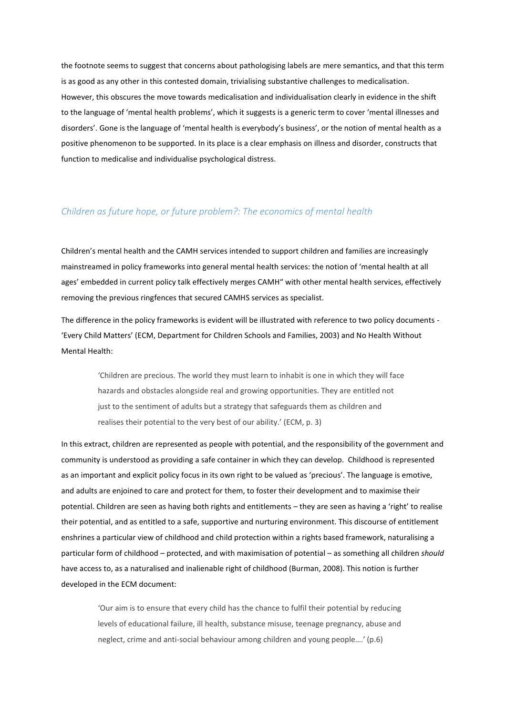the footnote seems to suggest that concerns about pathologising labels are mere semantics, and that this term is as good as any other in this contested domain, trivialising substantive challenges to medicalisation. However, this obscures the move towards medicalisation and individualisation clearly in evidence in the shift to the language of 'mental health problems', which it suggests is a generic term to cover 'mental illnesses and disorders'. Gone is the language of 'mental health is everybody's business', or the notion of mental health as a positive phenomenon to be supported. In its place is a clear emphasis on illness and disorder, constructs that function to medicalise and individualise psychological distress.

#### *Children as future hope, or future problem?: The economics of mental health*

Children's mental health and the CAMH services intended to support children and families are increasingly mainstreamed in policy frameworks into general mental health services: the notion of 'mental health at all ages' embedded in current policy talk effectively merges CAMH" with other mental health services, effectively removing the previous ringfences that secured CAMHS services as specialist.

The difference in the policy frameworks is evident will be illustrated with reference to two policy documents - 'Every Child Matters' (ECM, Department for Children Schools and Families, 2003) and No Health Without Mental Health:

'Children are precious. The world they must learn to inhabit is one in which they will face hazards and obstacles alongside real and growing opportunities. They are entitled not just to the sentiment of adults but a strategy that safeguards them as children and realises their potential to the very best of our ability.' (ECM, p. 3)

In this extract, children are represented as people with potential, and the responsibility of the government and community is understood as providing a safe container in which they can develop. Childhood is represented as an important and explicit policy focus in its own right to be valued as 'precious'. The language is emotive, and adults are enjoined to care and protect for them, to foster their development and to maximise their potential. Children are seen as having both rights and entitlements – they are seen as having a 'right' to realise their potential, and as entitled to a safe, supportive and nurturing environment. This discourse of entitlement enshrines a particular view of childhood and child protection within a rights based framework, naturalising a particular form of childhood – protected, and with maximisation of potential – as something all children *should*  have access to, as a naturalised and inalienable right of childhood (Burman, 2008). This notion is further developed in the ECM document:

'Our aim is to ensure that every child has the chance to fulfil their potential by reducing levels of educational failure, ill health, substance misuse, teenage pregnancy, abuse and neglect, crime and anti-social behaviour among children and young people….' (p.6)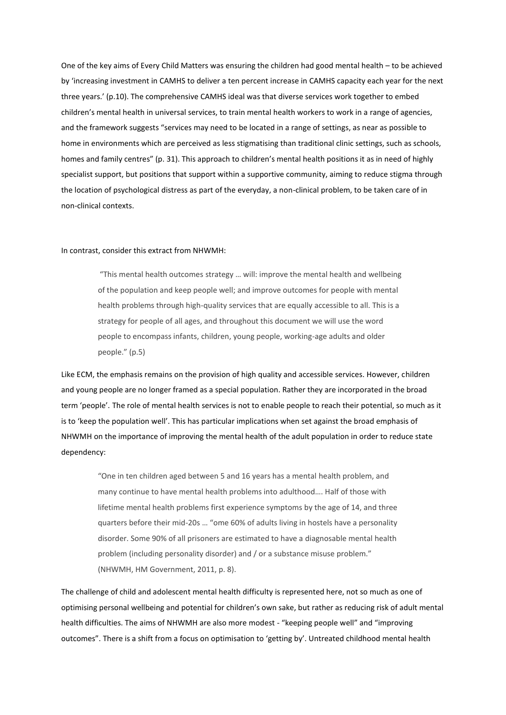One of the key aims of Every Child Matters was ensuring the children had good mental health – to be achieved by 'increasing investment in CAMHS to deliver a ten percent increase in CAMHS capacity each year for the next three years.' (p.10). The comprehensive CAMHS ideal was that diverse services work together to embed children's mental health in universal services, to train mental health workers to work in a range of agencies, and the framework suggests "services may need to be located in a range of settings, as near as possible to home in environments which are perceived as less stigmatising than traditional clinic settings, such as schools, homes and family centres" (p. 31). This approach to children's mental health positions it as in need of highly specialist support, but positions that support within a supportive community, aiming to reduce stigma through the location of psychological distress as part of the everyday, a non-clinical problem, to be taken care of in non-clinical contexts.

#### In contrast, consider this extract from NHWMH:

"This mental health outcomes strategy … will: improve the mental health and wellbeing of the population and keep people well; and improve outcomes for people with mental health problems through high-quality services that are equally accessible to all. This is a strategy for people of all ages, and throughout this document we will use the word people to encompass infants, children, young people, working-age adults and older people." (p.5)

Like ECM, the emphasis remains on the provision of high quality and accessible services. However, children and young people are no longer framed as a special population. Rather they are incorporated in the broad term 'people'. The role of mental health services is not to enable people to reach their potential, so much as it is to 'keep the population well'. This has particular implications when set against the broad emphasis of NHWMH on the importance of improving the mental health of the adult population in order to reduce state dependency:

"One in ten children aged between 5 and 16 years has a mental health problem, and many continue to have mental health problems into adulthood…. Half of those with lifetime mental health problems first experience symptoms by the age of 14, and three quarters before their mid-20s … "ome 60% of adults living in hostels have a personality disorder. Some 90% of all prisoners are estimated to have a diagnosable mental health problem (including personality disorder) and / or a substance misuse problem." (NHWMH, HM Government, 2011, p. 8).

The challenge of child and adolescent mental health difficulty is represented here, not so much as one of optimising personal wellbeing and potential for children's own sake, but rather as reducing risk of adult mental health difficulties. The aims of NHWMH are also more modest - "keeping people well" and "improving outcomes". There is a shift from a focus on optimisation to 'getting by'. Untreated childhood mental health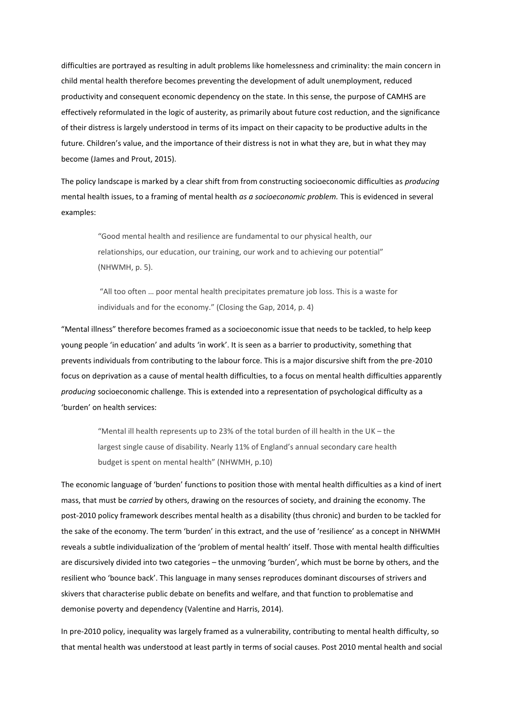difficulties are portrayed as resulting in adult problems like homelessness and criminality: the main concern in child mental health therefore becomes preventing the development of adult unemployment, reduced productivity and consequent economic dependency on the state. In this sense, the purpose of CAMHS are effectively reformulated in the logic of austerity, as primarily about future cost reduction, and the significance of their distress is largely understood in terms of its impact on their capacity to be productive adults in the future. Children's value, and the importance of their distress is not in what they are, but in what they may become (James and Prout, 2015).

The policy landscape is marked by a clear shift from from constructing socioeconomic difficulties as *producing*  mental health issues, to a framing of mental health *as a socioeconomic problem.* This is evidenced in several examples:

"Good mental health and resilience are fundamental to our physical health, our relationships, our education, our training, our work and to achieving our potential" (NHWMH, p. 5).

"All too often … poor mental health precipitates premature job loss. This is a waste for individuals and for the economy." (Closing the Gap, 2014, p. 4)

"Mental illness" therefore becomes framed as a socioeconomic issue that needs to be tackled, to help keep young people 'in education' and adults 'in work'. It is seen as a barrier to productivity, something that prevents individuals from contributing to the labour force. This is a major discursive shift from the pre-2010 focus on deprivation as a cause of mental health difficulties, to a focus on mental health difficulties apparently *producing* socioeconomic challenge. This is extended into a representation of psychological difficulty as a 'burden' on health services:

"Mental ill health represents up to 23% of the total burden of ill health in the UK – the largest single cause of disability. Nearly 11% of England's annual secondary care health budget is spent on mental health" (NHWMH, p.10)

The economic language of 'burden' functions to position those with mental health difficulties as a kind of inert mass, that must be *carried* by others, drawing on the resources of society, and draining the economy. The post-2010 policy framework describes mental health as a disability (thus chronic) and burden to be tackled for the sake of the economy. The term 'burden' in this extract, and the use of 'resilience' as a concept in NHWMH reveals a subtle individualization of the 'problem of mental health' itself. Those with mental health difficulties are discursively divided into two categories – the unmoving 'burden', which must be borne by others, and the resilient who 'bounce back'. This language in many senses reproduces dominant discourses of strivers and skivers that characterise public debate on benefits and welfare, and that function to problematise and demonise poverty and dependency (Valentine and Harris, 2014).

In pre-2010 policy, inequality was largely framed as a vulnerability, contributing to mental health difficulty, so that mental health was understood at least partly in terms of social causes. Post 2010 mental health and social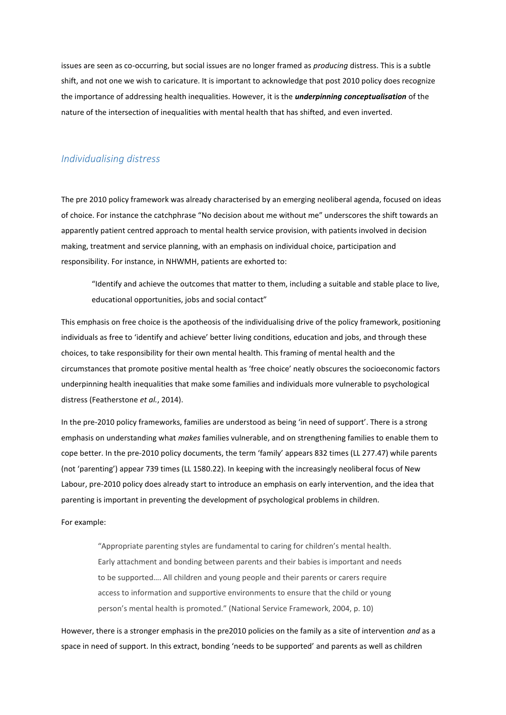issues are seen as co-occurring, but social issues are no longer framed as *producing* distress. This is a subtle shift, and not one we wish to caricature. It is important to acknowledge that post 2010 policy does recognize the importance of addressing health inequalities. However, it is the *underpinning conceptualisation* of the nature of the intersection of inequalities with mental health that has shifted, and even inverted.

### *Individualising distress*

The pre 2010 policy framework was already characterised by an emerging neoliberal agenda, focused on ideas of choice. For instance the catchphrase "No decision about me without me" underscores the shift towards an apparently patient centred approach to mental health service provision, with patients involved in decision making, treatment and service planning, with an emphasis on individual choice, participation and responsibility. For instance, in NHWMH, patients are exhorted to:

"Identify and achieve the outcomes that matter to them, including a suitable and stable place to live, educational opportunities, jobs and social contact"

This emphasis on free choice is the apotheosis of the individualising drive of the policy framework, positioning individuals as free to 'identify and achieve' better living conditions, education and jobs, and through these choices, to take responsibility for their own mental health. This framing of mental health and the circumstances that promote positive mental health as 'free choice' neatly obscures the socioeconomic factors underpinning health inequalities that make some families and individuals more vulnerable to psychological distress (Featherstone *et al.*, 2014).

In the pre-2010 policy frameworks, families are understood as being 'in need of support'. There is a strong emphasis on understanding what *makes* families vulnerable, and on strengthening families to enable them to cope better. In the pre-2010 policy documents, the term 'family' appears 832 times (LL 277.47) while parents (not 'parenting') appear 739 times (LL 1580.22). In keeping with the increasingly neoliberal focus of New Labour, pre-2010 policy does already start to introduce an emphasis on early intervention, and the idea that parenting is important in preventing the development of psychological problems in children.

#### For example:

"Appropriate parenting styles are fundamental to caring for children's mental health. Early attachment and bonding between parents and their babies is important and needs to be supported…. All children and young people and their parents or carers require access to information and supportive environments to ensure that the child or young person's mental health is promoted." (National Service Framework, 2004, p. 10)

However, there is a stronger emphasis in the pre2010 policies on the family as a site of intervention *and* as a space in need of support. In this extract, bonding 'needs to be supported' and parents as well as children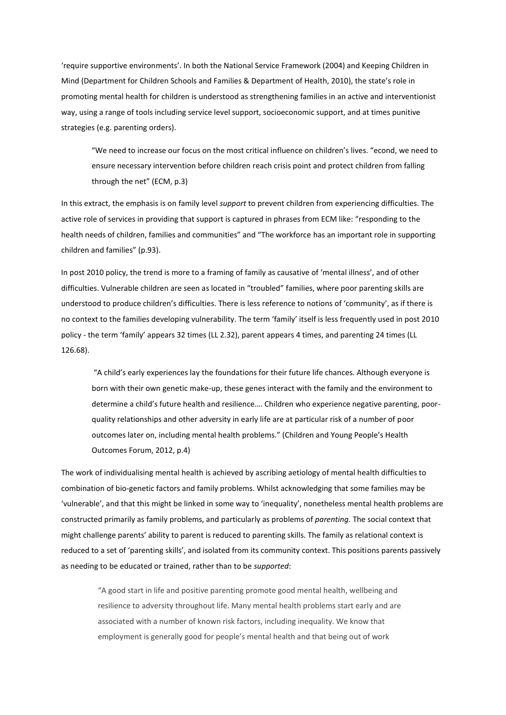'require supportive environments'. In both the National Service Framework (2004) and Keeping Children in Mind (Department for Children Schools and Families & Department of Health, 2010), the state's role in promoting mental health for children is understood as strengthening families in an active and interventionist way, using a range of tools including service level support, socioeconomic support, and at times punitive strategies (e.g. parenting orders).

"We need to increase our focus on the most critical influence on children's lives. "econd, we need to ensure necessary intervention before children reach crisis point and protect children from falling through the net" (ECM, p.3)

In this extract, the emphasis is on family level *support* to prevent children from experiencing difficulties. The active role of services in providing that support is captured in phrases from ECM like: "responding to the health needs of children, families and communities" and "The workforce has an important role in supporting children and families" (p.93).

In post 2010 policy, the trend is more to a framing of family as causative of 'mental illness', and of other difficulties. Vulnerable children are seen as located in "troubled" families, where poor parenting skills are understood to produce children's difficulties. There is less reference to notions of 'community', as if there is no context to the families developing vulnerability. The term 'family' itself is less frequently used in post 2010 policy - the term 'family' appears 32 times (LL 2.32), parent appears 4 times, and parenting 24 times (LL 126.68).

"A child's early experiences lay the foundations for their future life chances. Although everyone is born with their own genetic make-up, these genes interact with the family and the environment to determine a child's future health and resilience…. Children who experience negative parenting, poorquality relationships and other adversity in early life are at particular risk of a number of poor outcomes later on, including mental health problems." (Children and Young People's Health Outcomes Forum, 2012, p.4)

The work of individualising mental health is achieved by ascribing aetiology of mental health difficulties to combination of bio-genetic factors and family problems. Whilst acknowledging that some families may be 'vulnerable', and that this might be linked in some way to 'inequality', nonetheless mental health problems are constructed primarily as family problems, and particularly as problems of *parenting.* The social context that might challenge parents' ability to parent is reduced to parenting skills. The family as relational context is reduced to a set of 'parenting skills', and isolated from its community context. This positions parents passively as needing to be educated or trained, rather than to be *supported*:

"A good start in life and positive parenting promote good mental health, wellbeing and resilience to adversity throughout life. Many mental health problems start early and are associated with a number of known risk factors, including inequality. We know that employment is generally good for people's mental health and that being out of work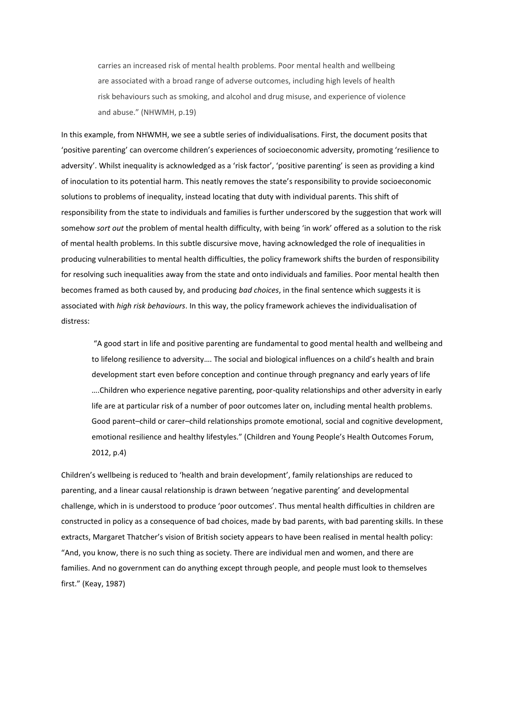carries an increased risk of mental health problems. Poor mental health and wellbeing are associated with a broad range of adverse outcomes, including high levels of health risk behaviours such as smoking, and alcohol and drug misuse, and experience of violence and abuse." (NHWMH, p.19)

In this example, from NHWMH, we see a subtle series of individualisations. First, the document posits that 'positive parenting' can overcome children's experiences of socioeconomic adversity, promoting 'resilience to adversity'. Whilst inequality is acknowledged as a 'risk factor', 'positive parenting' is seen as providing a kind of inoculation to its potential harm. This neatly removes the state's responsibility to provide socioeconomic solutions to problems of inequality, instead locating that duty with individual parents. This shift of responsibility from the state to individuals and families is further underscored by the suggestion that work will somehow *sort out* the problem of mental health difficulty, with being 'in work' offered as a solution to the risk of mental health problems. In this subtle discursive move, having acknowledged the role of inequalities in producing vulnerabilities to mental health difficulties, the policy framework shifts the burden of responsibility for resolving such inequalities away from the state and onto individuals and families. Poor mental health then becomes framed as both caused by, and producing *bad choices*, in the final sentence which suggests it is associated with *high risk behaviours*. In this way, the policy framework achieves the individualisation of distress:

"A good start in life and positive parenting are fundamental to good mental health and wellbeing and to lifelong resilience to adversity…. The social and biological influences on a child's health and brain development start even before conception and continue through pregnancy and early years of life ….Children who experience negative parenting, poor-quality relationships and other adversity in early life are at particular risk of a number of poor outcomes later on, including mental health problems. Good parent–child or carer–child relationships promote emotional, social and cognitive development, emotional resilience and healthy lifestyles." (Children and Young People's Health Outcomes Forum, 2012, p.4)

Children's wellbeing is reduced to 'health and brain development', family relationships are reduced to parenting, and a linear causal relationship is drawn between 'negative parenting' and developmental challenge, which in is understood to produce 'poor outcomes'. Thus mental health difficulties in children are constructed in policy as a consequence of bad choices, made by bad parents, with bad parenting skills. In these extracts, Margaret Thatcher's vision of British society appears to have been realised in mental health policy: "And, you know, there is no such thing as society. There are individual men and women, and there are families. And no government can do anything except through people, and people must look to themselves first." (Keay, 1987)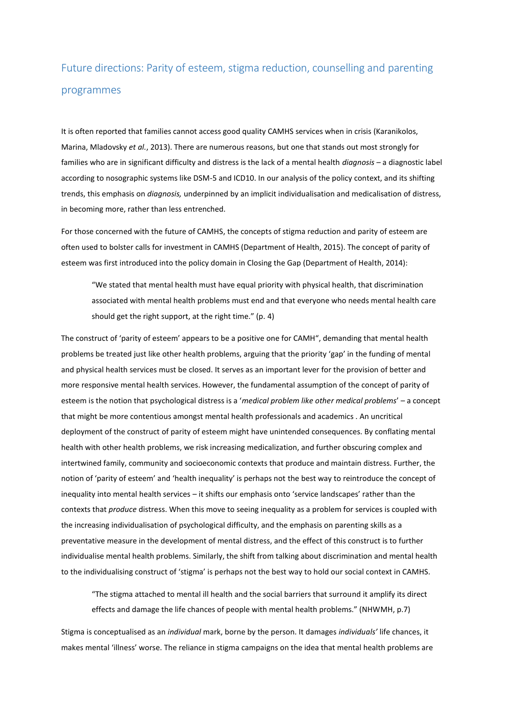# Future directions: Parity of esteem, stigma reduction, counselling and parenting programmes

It is often reported that families cannot access good quality CAMHS services when in crisis (Karanikolos, Marina, Mladovsky *et al.*, 2013). There are numerous reasons, but one that stands out most strongly for families who are in significant difficulty and distress is the lack of a mental health *diagnosis –* a diagnostic label according to nosographic systems like DSM-5 and ICD10. In our analysis of the policy context, and its shifting trends, this emphasis on *diagnosis,* underpinned by an implicit individualisation and medicalisation of distress, in becoming more, rather than less entrenched.

For those concerned with the future of CAMHS, the concepts of stigma reduction and parity of esteem are often used to bolster calls for investment in CAMHS (Department of Health, 2015). The concept of parity of esteem was first introduced into the policy domain in Closing the Gap (Department of Health, 2014):

"We stated that mental health must have equal priority with physical health, that discrimination associated with mental health problems must end and that everyone who needs mental health care should get the right support, at the right time." (p. 4)

The construct of 'parity of esteem' appears to be a positive one for CAMH", demanding that mental health problems be treated just like other health problems, arguing that the priority 'gap' in the funding of mental and physical health services must be closed. It serves as an important lever for the provision of better and more responsive mental health services. However, the fundamental assumption of the concept of parity of esteem is the notion that psychological distress is a '*medical problem like other medical problems*' – a concept that might be more contentious amongst mental health professionals and academics . An uncritical deployment of the construct of parity of esteem might have unintended consequences. By conflating mental health with other health problems, we risk increasing medicalization, and further obscuring complex and intertwined family, community and socioeconomic contexts that produce and maintain distress. Further, the notion of 'parity of esteem' and 'health inequality' is perhaps not the best way to reintroduce the concept of inequality into mental health services – it shifts our emphasis onto 'service landscapes' rather than the contexts that *produce* distress. When this move to seeing inequality as a problem for services is coupled with the increasing individualisation of psychological difficulty, and the emphasis on parenting skills as a preventative measure in the development of mental distress, and the effect of this construct is to further individualise mental health problems. Similarly, the shift from talking about discrimination and mental health to the individualising construct of 'stigma' is perhaps not the best way to hold our social context in CAMHS.

"The stigma attached to mental ill health and the social barriers that surround it amplify its direct effects and damage the life chances of people with mental health problems." (NHWMH, p.7)

Stigma is conceptualised as an *individual* mark, borne by the person. It damages *individuals'* life chances, it makes mental 'illness' worse. The reliance in stigma campaigns on the idea that mental health problems are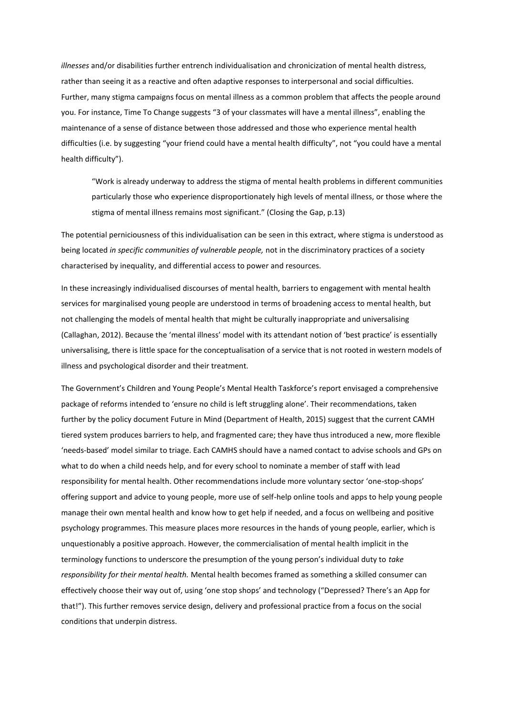*illnesses* and/or disabilities further entrench individualisation and chronicization of mental health distress, rather than seeing it as a reactive and often adaptive responses to interpersonal and social difficulties. Further, many stigma campaigns focus on mental illness as a common problem that affects the people around you. For instance, Time To Change suggests "3 of your classmates will have a mental illness", enabling the maintenance of a sense of distance between those addressed and those who experience mental health difficulties (i.e. by suggesting "your friend could have a mental health difficulty", not "you could have a mental health difficulty").

"Work is already underway to address the stigma of mental health problems in different communities particularly those who experience disproportionately high levels of mental illness, or those where the stigma of mental illness remains most significant." (Closing the Gap, p.13)

The potential perniciousness of this individualisation can be seen in this extract, where stigma is understood as being located *in specific communities of vulnerable people,* not in the discriminatory practices of a society characterised by inequality, and differential access to power and resources.

In these increasingly individualised discourses of mental health, barriers to engagement with mental health services for marginalised young people are understood in terms of broadening access to mental health, but not challenging the models of mental health that might be culturally inappropriate and universalising (Callaghan, 2012). Because the 'mental illness' model with its attendant notion of 'best practice' is essentially universalising, there is little space for the conceptualisation of a service that is not rooted in western models of illness and psychological disorder and their treatment.

The Government's Children and Young People's Mental Health Taskforce's report envisaged a comprehensive package of reforms intended to 'ensure no child is left struggling alone'. Their recommendations, taken further by the policy document Future in Mind (Department of Health, 2015) suggest that the current CAMH tiered system produces barriers to help, and fragmented care; they have thus introduced a new, more flexible 'needs-based' model similar to triage. Each CAMHS should have a named contact to advise schools and GPs on what to do when a child needs help, and for every school to nominate a member of staff with lead responsibility for mental health. Other recommendations include more voluntary sector 'one-stop-shops' offering support and advice to young people, more use of self-help online tools and apps to help young people manage their own mental health and know how to get help if needed, and a focus on wellbeing and positive psychology programmes. This measure places more resources in the hands of young people, earlier, which is unquestionably a positive approach. However, the commercialisation of mental health implicit in the terminology functions to underscore the presumption of the young person's individual duty to *take responsibility for their mental health.* Mental health becomes framed as something a skilled consumer can effectively choose their way out of, using 'one stop shops' and technology ("Depressed? There's an App for that!"). This further removes service design, delivery and professional practice from a focus on the social conditions that underpin distress.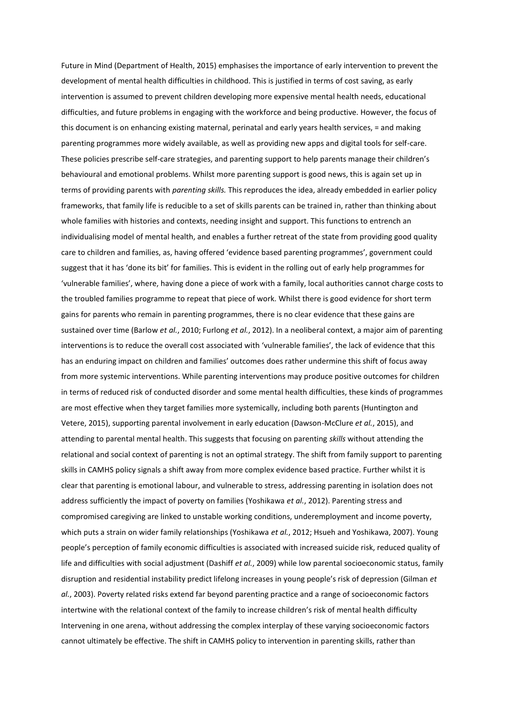Future in Mind (Department of Health, 2015) emphasises the importance of early intervention to prevent the development of mental health difficulties in childhood. This is justified in terms of cost saving, as early intervention is assumed to prevent children developing more expensive mental health needs, educational difficulties, and future problems in engaging with the workforce and being productive. However, the focus of this document is on enhancing existing maternal, perinatal and early years health services, = and making parenting programmes more widely available, as well as providing new apps and digital tools for self-care. These policies prescribe self-care strategies, and parenting support to help parents manage their children's behavioural and emotional problems. Whilst more parenting support is good news, this is again set up in terms of providing parents with *parenting skills.* This reproduces the idea, already embedded in earlier policy frameworks, that family life is reducible to a set of skills parents can be trained in, rather than thinking about whole families with histories and contexts, needing insight and support. This functions to entrench an individualising model of mental health, and enables a further retreat of the state from providing good quality care to children and families, as, having offered 'evidence based parenting programmes', government could suggest that it has 'done its bit' for families. This is evident in the rolling out of early help programmes for 'vulnerable families', where, having done a piece of work with a family, local authorities cannot charge costs to the troubled families programme to repeat that piece of work. Whilst there is good evidence for short term gains for parents who remain in parenting programmes, there is no clear evidence that these gains are sustained over time (Barlow *et al.*, 2010; Furlong *et al.*, 2012). In a neoliberal context, a major aim of parenting interventions is to reduce the overall cost associated with 'vulnerable families', the lack of evidence that this has an enduring impact on children and families' outcomes does rather undermine this shift of focus away from more systemic interventions. While parenting interventions may produce positive outcomes for children in terms of reduced risk of conducted disorder and some mental health difficulties, these kinds of programmes are most effective when they target families more systemically, including both parents (Huntington and Vetere, 2015), supporting parental involvement in early education (Dawson-McClure *et al.*, 2015), and attending to parental mental health. This suggests that focusing on parenting *skills* without attending the relational and social context of parenting is not an optimal strategy. The shift from family support to parenting skills in CAMHS policy signals a shift away from more complex evidence based practice. Further whilst it is clear that parenting is emotional labour, and vulnerable to stress, addressing parenting in isolation does not address sufficiently the impact of poverty on families (Yoshikawa *et al.*, 2012). Parenting stress and compromised caregiving are linked to unstable working conditions, underemployment and income poverty, which puts a strain on wider family relationships (Yoshikawa *et al.*, 2012; Hsueh and Yoshikawa, 2007). Young people's perception of family economic difficulties is associated with increased suicide risk, reduced quality of life and difficulties with social adjustment (Dashiff *et al.*, 2009) while low parental socioeconomic status, family disruption and residential instability predict lifelong increases in young people's risk of depression (Gilman *et al.*, 2003). Poverty related risks extend far beyond parenting practice and a range of socioeconomic factors intertwine with the relational context of the family to increase children's risk of mental health difficulty Intervening in one arena, without addressing the complex interplay of these varying socioeconomic factors cannot ultimately be effective. The shift in CAMHS policy to intervention in parenting skills, ratherthan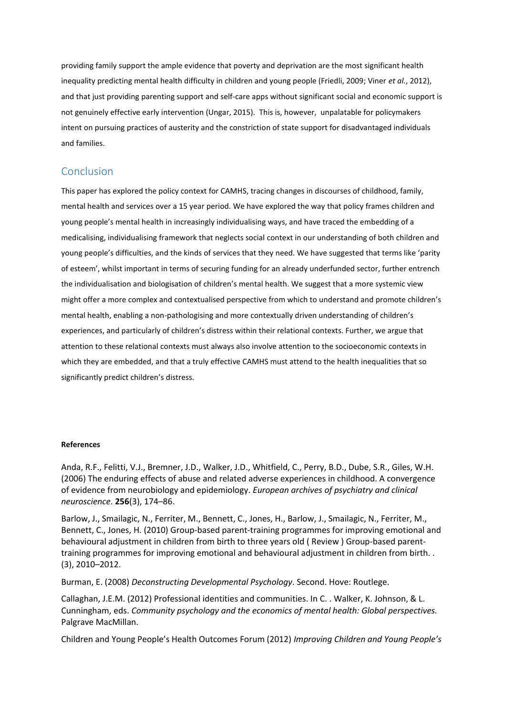providing family support the ample evidence that poverty and deprivation are the most significant health inequality predicting mental health difficulty in children and young people (Friedli, 2009; Viner *et al.*, 2012), and that just providing parenting support and self-care apps without significant social and economic support is not genuinely effective early intervention (Ungar, 2015). This is, however, unpalatable for policymakers intent on pursuing practices of austerity and the constriction of state support for disadvantaged individuals and families.

# Conclusion

This paper has explored the policy context for CAMHS, tracing changes in discourses of childhood, family, mental health and services over a 15 year period. We have explored the way that policy frames children and young people's mental health in increasingly individualising ways, and have traced the embedding of a medicalising, individualising framework that neglects social context in our understanding of both children and young people's difficulties, and the kinds of services that they need. We have suggested that terms like 'parity of esteem', whilst important in terms of securing funding for an already underfunded sector, further entrench the individualisation and biologisation of children's mental health. We suggest that a more systemic view might offer a more complex and contextualised perspective from which to understand and promote children's mental health, enabling a non-pathologising and more contextually driven understanding of children's experiences, and particularly of children's distress within their relational contexts. Further, we argue that attention to these relational contexts must always also involve attention to the socioeconomic contexts in which they are embedded, and that a truly effective CAMHS must attend to the health inequalities that so significantly predict children's distress.

#### **References**

Anda, R.F., Felitti, V.J., Bremner, J.D., Walker, J.D., Whitfield, C., Perry, B.D., Dube, S.R., Giles, W.H. (2006) The enduring effects of abuse and related adverse experiences in childhood. A convergence of evidence from neurobiology and epidemiology. *European archives of psychiatry and clinical neuroscience*. **256**(3), 174–86.

Barlow, J., Smailagic, N., Ferriter, M., Bennett, C., Jones, H., Barlow, J., Smailagic, N., Ferriter, M., Bennett, C., Jones, H. (2010) Group-based parent-training programmes for improving emotional and behavioural adjustment in children from birth to three years old ( Review ) Group-based parenttraining programmes for improving emotional and behavioural adjustment in children from birth. . (3), 2010–2012.

Burman, E. (2008) *Deconstructing Developmental Psychology*. Second. Hove: Routlege.

Callaghan, J.E.M. (2012) Professional identities and communities. In C. . Walker, K. Johnson, & L. Cunningham, eds. *Community psychology and the economics of mental health: Global perspectives.* Palgrave MacMillan.

Children and Young People's Health Outcomes Forum (2012) *Improving Children and Young People's*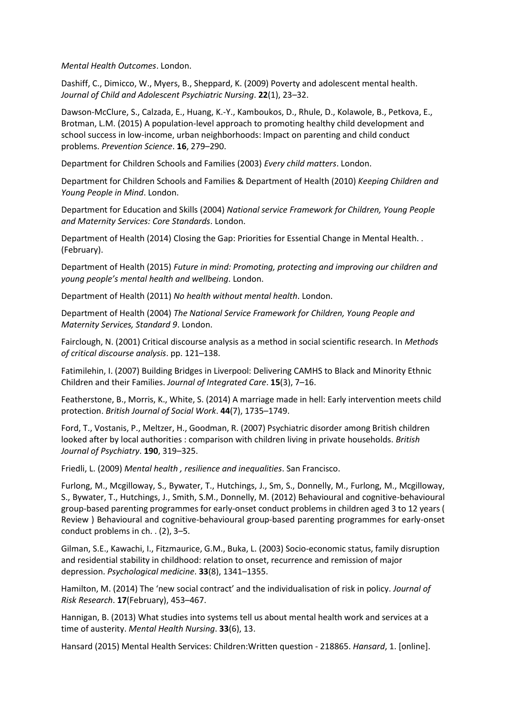*Mental Health Outcomes*. London.

Dashiff, C., Dimicco, W., Myers, B., Sheppard, K. (2009) Poverty and adolescent mental health. *Journal of Child and Adolescent Psychiatric Nursing*. **22**(1), 23–32.

Dawson-McClure, S., Calzada, E., Huang, K.-Y., Kamboukos, D., Rhule, D., Kolawole, B., Petkova, E., Brotman, L.M. (2015) A population-level approach to promoting healthy child development and school success in low-income, urban neighborhoods: Impact on parenting and child conduct problems. *Prevention Science*. **16**, 279–290.

Department for Children Schools and Families (2003) *Every child matters*. London.

Department for Children Schools and Families & Department of Health (2010) *Keeping Children and Young People in Mind*. London.

Department for Education and Skills (2004) *National service Framework for Children, Young People and Maternity Services: Core Standards*. London.

Department of Health (2014) Closing the Gap: Priorities for Essential Change in Mental Health. . (February).

Department of Health (2015) *Future in mind: Promoting, protecting and improving our children and young people's mental health and wellbeing*. London.

Department of Health (2011) *No health without mental health*. London.

Department of Health (2004) *The National Service Framework for Children, Young People and Maternity Services, Standard 9*. London.

Fairclough, N. (2001) Critical discourse analysis as a method in social scientific research. In *Methods of critical discourse analysis*. pp. 121–138.

Fatimilehin, I. (2007) Building Bridges in Liverpool: Delivering CAMHS to Black and Minority Ethnic Children and their Families. *Journal of Integrated Care*. **15**(3), 7–16.

Featherstone, B., Morris, K., White, S. (2014) A marriage made in hell: Early intervention meets child protection. *British Journal of Social Work*. **44**(7), 1735–1749.

Ford, T., Vostanis, P., Meltzer, H., Goodman, R. (2007) Psychiatric disorder among British children looked after by local authorities : comparison with children living in private households. *British Journal of Psychiatry*. **190**, 319–325.

Friedli, L. (2009) *Mental health , resilience and inequalities*. San Francisco.

Furlong, M., Mcgilloway, S., Bywater, T., Hutchings, J., Sm, S., Donnelly, M., Furlong, M., Mcgilloway, S., Bywater, T., Hutchings, J., Smith, S.M., Donnelly, M. (2012) Behavioural and cognitive-behavioural group-based parenting programmes for early-onset conduct problems in children aged 3 to 12 years ( Review ) Behavioural and cognitive-behavioural group-based parenting programmes for early-onset conduct problems in ch. . (2), 3–5.

Gilman, S.E., Kawachi, I., Fitzmaurice, G.M., Buka, L. (2003) Socio-economic status, family disruption and residential stability in childhood: relation to onset, recurrence and remission of major depression. *Psychological medicine*. **33**(8), 1341–1355.

Hamilton, M. (2014) The 'new social contract' and the individualisation of risk in policy. *Journal of Risk Research*. **17**(February), 453–467.

Hannigan, B. (2013) What studies into systems tell us about mental health work and services at a time of austerity. *Mental Health Nursing*. **33**(6), 13.

Hansard (2015) Mental Health Services: Children:Written question - 218865. *Hansard*, 1. [online].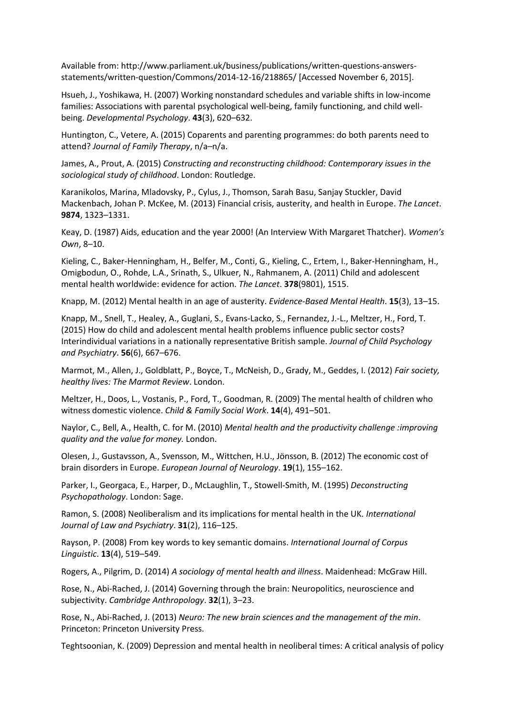Available from[: http://www.parliament.uk/business/publications/written-questions-answers](http://www.parliament.uk/business/publications/written-questions-answers-)statements/written-question/Commons/2014-12-16/218865/ [Accessed November 6, 2015].

Hsueh, J., Yoshikawa, H. (2007) Working nonstandard schedules and variable shifts in low-income families: Associations with parental psychological well-being, family functioning, and child wellbeing. *Developmental Psychology*. **43**(3), 620–632.

Huntington, C., Vetere, A. (2015) Coparents and parenting programmes: do both parents need to attend? *Journal of Family Therapy*, n/a–n/a.

James, A., Prout, A. (2015) *Constructing and reconstructing childhood: Contemporary issues in the sociological study of childhood*. London: Routledge.

Karanikolos, Marina, Mladovsky, P., Cylus, J., Thomson, Sarah Basu, Sanjay Stuckler, David Mackenbach, Johan P. McKee, M. (2013) Financial crisis, austerity, and health in Europe. *The Lancet*. **9874**, 1323–1331.

Keay, D. (1987) Aids, education and the year 2000! (An Interview With Margaret Thatcher). *Women's Own*, 8–10.

Kieling, C., Baker-Henningham, H., Belfer, M., Conti, G., Kieling, C., Ertem, I., Baker-Henningham, H., Omigbodun, O., Rohde, L.A., Srinath, S., Ulkuer, N., Rahmanem, A. (2011) Child and adolescent mental health worldwide: evidence for action. *The Lancet*. **378**(9801), 1515.

Knapp, M. (2012) Mental health in an age of austerity. *Evidence-Based Mental Health*. **15**(3), 13–15.

Knapp, M., Snell, T., Healey, A., Guglani, S., Evans-Lacko, S., Fernandez, J.-L., Meltzer, H., Ford, T. (2015) How do child and adolescent mental health problems influence public sector costs? Interindividual variations in a nationally representative British sample. *Journal of Child Psychology and Psychiatry*. **56**(6), 667–676.

Marmot, M., Allen, J., Goldblatt, P., Boyce, T., McNeish, D., Grady, M., Geddes, I. (2012) *Fair society, healthy lives: The Marmot Review*. London.

Meltzer, H., Doos, L., Vostanis, P., Ford, T., Goodman, R. (2009) The mental health of children who witness domestic violence. *Child & Family Social Work*. **14**(4), 491–501.

Naylor, C., Bell, A., Health, C. for M. (2010) *Mental health and the productivity challenge :improving quality and the value for money.* London.

Olesen, J., Gustavsson, A., Svensson, M., Wittchen, H.U., Jönsson, B. (2012) The economic cost of brain disorders in Europe. *European Journal of Neurology*. **19**(1), 155–162.

Parker, I., Georgaca, E., Harper, D., McLaughlin, T., Stowell-Smith, M. (1995) *Deconstructing Psychopathology*. London: Sage.

Ramon, S. (2008) Neoliberalism and its implications for mental health in the UK. *International Journal of Law and Psychiatry*. **31**(2), 116–125.

Rayson, P. (2008) From key words to key semantic domains. *International Journal of Corpus Linguistic*. **13**(4), 519–549.

Rogers, A., Pilgrim, D. (2014) *A sociology of mental health and illness*. Maidenhead: McGraw Hill.

Rose, N., Abi-Rached, J. (2014) Governing through the brain: Neuropolitics, neuroscience and subjectivity. *Cambridge Anthropology*. **32**(1), 3–23.

Rose, N., Abi-Rached, J. (2013) *Neuro: The new brain sciences and the management of the min*. Princeton: Princeton University Press.

Teghtsoonian, K. (2009) Depression and mental health in neoliberal times: A critical analysis of policy